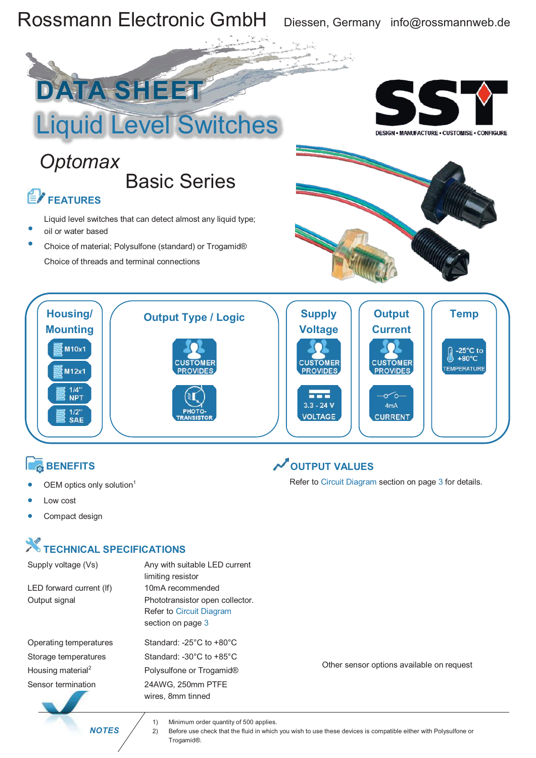

- Liquid level switches that can detect almost any liquid type; oil or water based ·
- Choice of material; Polysulfone (standard) or Trogamid® Choice of threads and terminal connections





### **BENEFITS**

- OEM optics only solution<sup>1</sup>
- Low cost
- Compact design

## **X** TECHNICAL SPECIFICATIONS

LED forward current (If) 10mA recommended

Operating temperatures Standard: -25°C to +80°C Housing material<sup>2</sup> Sensor termination 24AWG, 250mm PTFE

Supply voltage (Vs) Any with suitable LED current limiting resistor Output signal Phototransistor open collector. Refer to Circuit Diagram section on page 3

Storage temperatures Standard: -30°C to +85°C <sup>2</sup> Polysulfone or Trogamid® wires, 8mm tinned

**OUTPUT VALUES**

Refer to Circuit Diagram section on page 3 for details.

Other sensor options available on request

 *NOTES*

1) Minimum order quantity of 500 applies.

2) Before use check that the fluid in which you wish to use these devices is compatible either with Polysulfone or Trogamid®.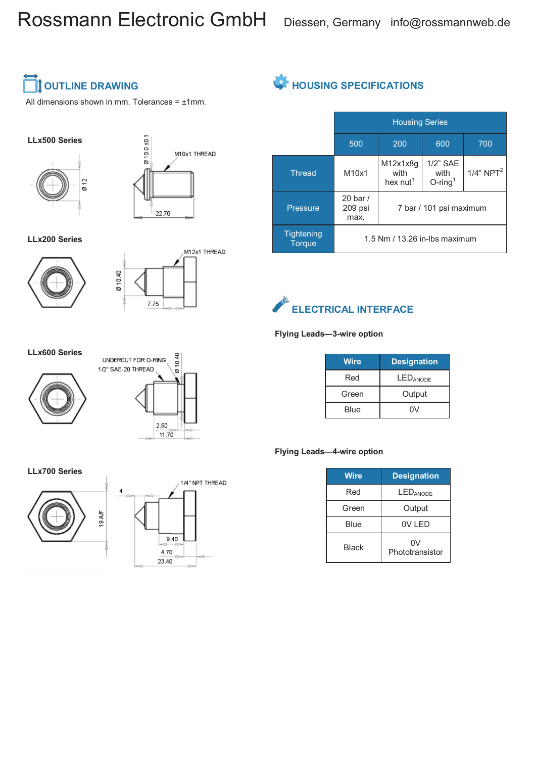## Rossmann Electronic GmbH Diessen, Germany info@rossmannweb.de



All dimensions shown in mm. Tolerances =  $±1$ mm.

### **LLx500 Series**





**LLx200 Series**





## **HOUSING SPECIFICATIONS**

|                                    | <b>Housing Series</b>             |                                          |                                               |                          |
|------------------------------------|-----------------------------------|------------------------------------------|-----------------------------------------------|--------------------------|
|                                    | 500                               | 200                                      | 600                                           | 700                      |
| <b>Thread</b>                      | M10x1                             | M12x1x8q<br>with<br>hex nut <sup>1</sup> | $1/2$ " SAE<br>with<br>$O$ -ring <sup>1</sup> | $1/4$ " NPT <sup>2</sup> |
| <b>Pressure</b>                    | $20$ bar $/$<br>209 psi<br>max.   | 7 bar / 101 psi maximum                  |                                               |                          |
| <b>Tightening</b><br><b>Torque</b> | $1.5$ Nm $/$ 13.26 in-lbs maximum |                                          |                                               |                          |



#### **Flying Leads—3-wire option**

| Wire  | <b>Designation</b> |  |
|-------|--------------------|--|
| Red   | <b>LEDANODE</b>    |  |
| Green | Output             |  |
| Blue  | ۵V                 |  |

#### **Flying Leads—4-wire option**

| <b>Wire</b>  | <b>Designation</b>    |  |
|--------------|-----------------------|--|
| Red          | <b>LEDANODE</b>       |  |
| Green        | Output                |  |
| Blue         | OV LED                |  |
| <b>Black</b> | 0V<br>Phototransistor |  |

#### **LLx600 Series**







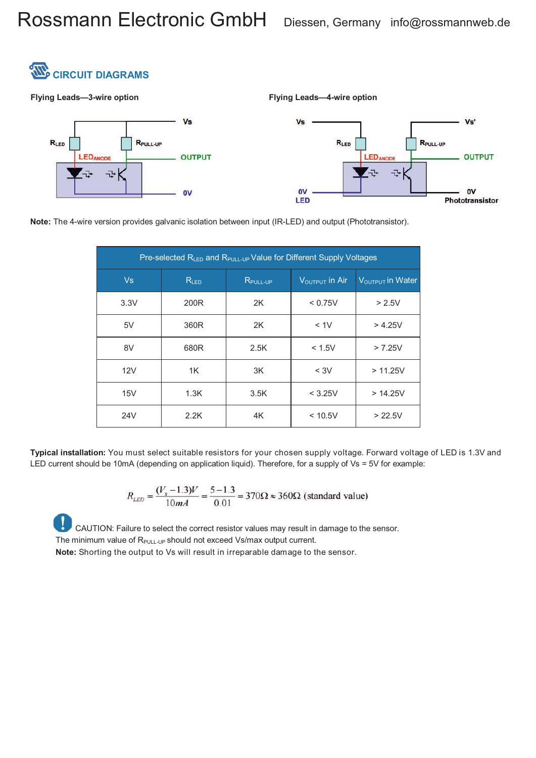

**Flying Leads—3-wire option Flying Leads—4-wire option**



**Note:** The 4-wire version provides galvanic isolation between input (IR-LED) and output (Phototransistor).

| Pre-selected R <sub>LED</sub> and R <sub>PULL-UP</sub> Value for Different Supply Voltages |           |                      |                                    |                              |  |
|--------------------------------------------------------------------------------------------|-----------|----------------------|------------------------------------|------------------------------|--|
| Vs                                                                                         | $R_{LED}$ | $R_{\text{PULL-UP}}$ | $\rm V_{\rm OUTPUT}$ in Air $\sim$ | $V_{\text{OUTPUT}}$ in Water |  |
| 3.3V                                                                                       | 200R      | 2K                   | < 0.75V                            | > 2.5V                       |  |
| 5V                                                                                         | 360R      | 2K                   | < 1V                               | > 4.25V                      |  |
| 8V                                                                                         | 680R      | 2.5K                 | < 1.5V                             | > 7.25V                      |  |
| 12V                                                                                        | 1K        | 3K                   | $<$ 3V                             | > 11.25V                     |  |
| 15V                                                                                        | 1.3K      | 3.5K                 | < 3.25V                            | > 14.25V                     |  |
| 24V                                                                                        | 2.2K      | 4K                   | < 10.5V                            | > 22.5V                      |  |

**Typical installation:** You must select suitable resistors for your chosen supply voltage. Forward voltage of LED is 1.3V and LED current should be 10mA (depending on application liquid). Therefore, for a supply of Vs = 5V for example:

$$
R_{LED} = \frac{(V_s - 1.3)V}{10mA} = \frac{5 - 1.3}{0.01} = 370\Omega \approx 360\Omega \text{ (standard value)}
$$

CAUTION: Failure to select the correct resistor values may result in damage to the sensor. The minimum value of  $R_{PUL-UP}$  should not exceed Vs/max output current.

**Note:** Shorting the output to Vs will result in irreparable damage to the sensor.